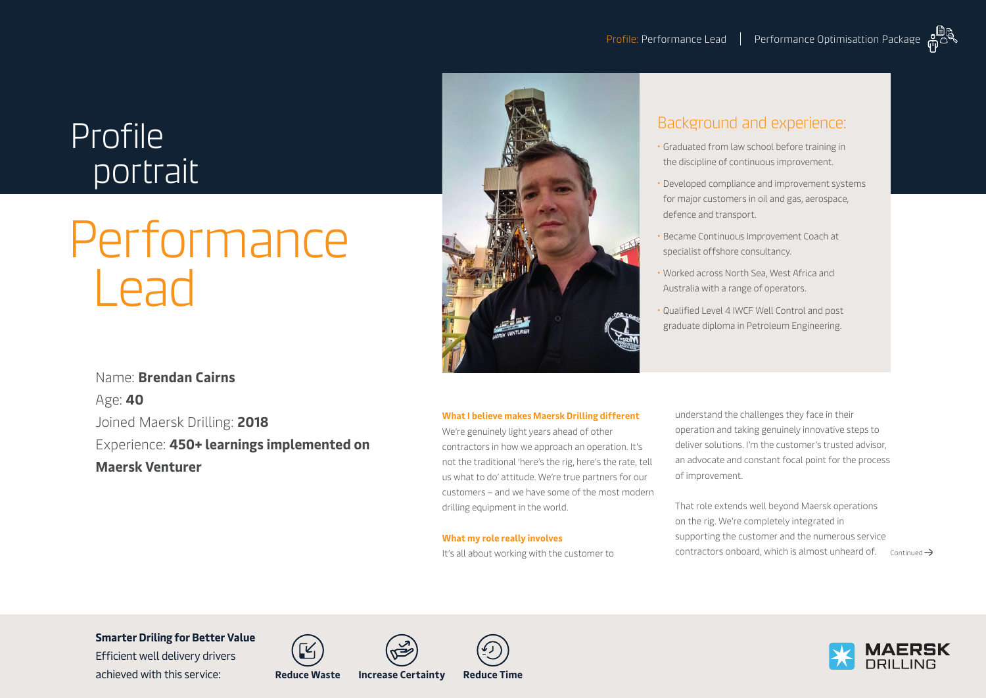## Profile portrait

# **Performance** Lead



### Background and experience:

- Graduated from law school before training in the discipline of continuous improvement.
- Developed compliance and improvement systems for major customers in oil and gas, aerospace, defence and transport.
- Became Continuous Improvement Coach at specialist offshore consultancy.
- Worked across North Sea, West Africa and Australia with a range of operators.
- Qualified Level 4 IWCF Well Control and post graduate diploma in Petroleum Engineering.

Name: **Brendan Cairns** Age: **40** Joined Maersk Drilling: **2018** Experience: **450+ learnings implemented on Maersk Venturer**

#### **What I believe makes Maersk Drilling different**

We're genuinely light years ahead of other contractors in how we approach an operation. It's not the traditional 'here's the rig, here's the rate, tell us what to do' attitude. We're true partners for our customers – and we have some of the most modern drilling equipment in the world.

#### **What my role really involves**

It's all about working with the customer to

understand the challenges they face in their operation and taking genuinely innovative steps to deliver solutions. I'm the customer's trusted advisor, an advocate and constant focal point for the process of improvement.

That role extends well beyond Maersk operations on the rig. We're completely integrated in supporting the customer and the numerous service contractors onboard, which is almost unheard of.  $\cos \theta$ 

**Smarter Driling for Better Value** 

Efficient well delivery drivers achieved with this service: **Reduce Waste Increase Certainty Reduce Time**